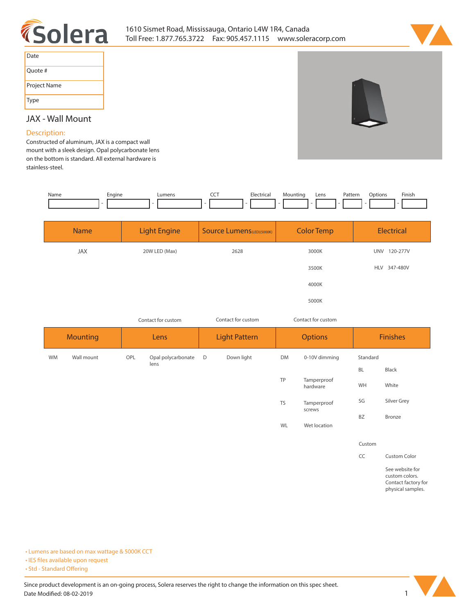



| Date         |
|--------------|
| Quote #      |
| Project Name |
| Type         |

# **JAX - Wall Mount**

### **Description:**

**Constructed of aluminum, JAX is a compact wall mount with a sleek design. Opal polycarbonate lens on the bottom is standard. All external hardware is stainless-steel.** 

| Name | Enaine | ∟umens | --- | Electrical | Mounting | Lens | Pattern<br>. | )ptions | Finish |
|------|--------|--------|-----|------------|----------|------|--------------|---------|--------|
|      |        |        |     |            |          |      |              |         |        |

| <b>Name</b> | <b>Light Engine</b> | <b>Source Lumens</b> (LED)(5000K) | <b>Color Temp</b> | Electrical             |  |
|-------------|---------------------|-----------------------------------|-------------------|------------------------|--|
| <b>JAX</b>  | 20W LED (Max)       | 2628                              | 3000K             | <b>UNV</b><br>120-277V |  |
|             |                     |                                   | 3500K             | 347-480V<br><b>HLV</b> |  |
|             |                     |                                   | 4000K             |                        |  |
|             |                     |                                   | 5000K             |                        |  |

*Contact for custom Contact for custom*

*Contact for custom*

| <b>Mounting</b> |            | Lens |                    | <b>Light Pattern</b> |            | <b>Options</b> |                         | <b>Finishes</b> |                                   |
|-----------------|------------|------|--------------------|----------------------|------------|----------------|-------------------------|-----------------|-----------------------------------|
| WM              | Wall mount | OPL  | Opal polycarbonate | $\Box$               | Down light | DM             | 0-10V dimming           | Standard        |                                   |
|                 |            |      | lens               |                      |            |                | Tamperproof<br>hardware | <b>BL</b>       | Black                             |
|                 |            |      |                    |                      |            | TP             |                         | WH              | White                             |
|                 |            |      |                    |                      |            | TS             | Tamperproof<br>screws   | SG              | Silver Grey                       |
|                 |            |      |                    |                      |            |                |                         | <b>BZ</b>       | Bronze                            |
|                 |            |      |                    |                      |            | WL             | Wet location            |                 |                                   |
|                 |            |      |                    |                      |            |                |                         | Custom          |                                   |
|                 |            |      |                    |                      |            |                |                         | CC              | Custom Color                      |
|                 |            |      |                    |                      |            |                |                         |                 | See website for<br>custom colors. |

**Contact factory for physical samples.** 

**• Lumens are based on max wattage & 5000K CCT**

**• IES files available upon request** 

• Std - Standard Offering

Since product development is an on-going process, Solera reserves the right to change the information on this spec sheet. **Date Modified: 08-02-2019** 1